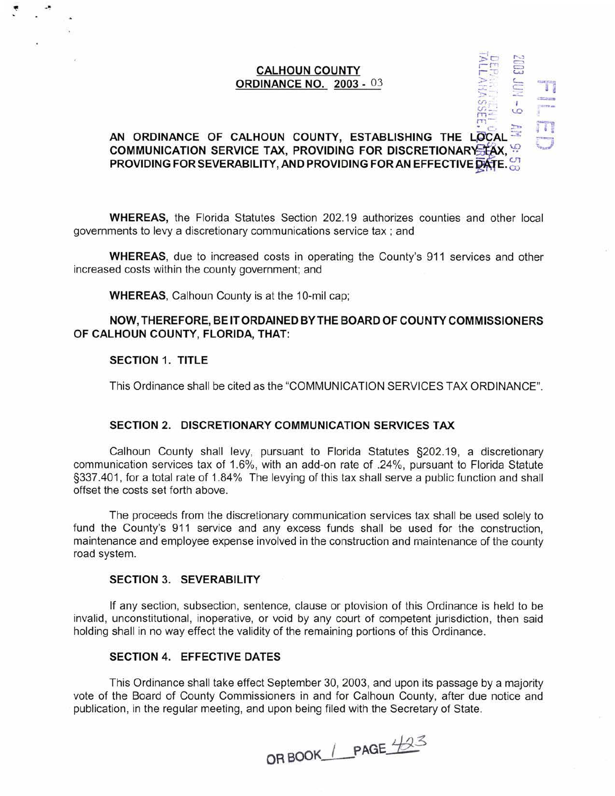## **CALHOUN COUNTY ORDINANCE NO. 2003** - 03

### $\geq$  c  $\geq$ AN ORDINANCE OF CALHOUN COUNTY, ESTABLISHING THE LOCAL  $\blacksquare$ **COMMUNICATION SERVICE TAX, PROVIDING FOR DISCRETIONARY LAX, WE PROVIDING FOR SEVERABILITY, AND PROVIDING FOR AN EFFECTIVE DATE.**

*C.F.* I  $m: \mathbb{R}^2 \rightarrow \mathbb{R}$ *m-*

**WHEREAS,** the Florida Statutes Section 202.19 authorizes counties and other local governments to levy a discretionary communications service tax ; and

**WHEREAS,** due to increased costs in operating the County's 911 services and other increased costs within the county government; and

**WHEREAS,** Calhoun County is at the 10-mil cap;

## **NOW, THEREFORE, BE IT ORDAINED BY THE BOARD OF COUNTY COMMISSIONERS OF CALHOUN COUNTY, FLORIDA, THAT:**

## **SECTION 1. TITLE**

This Ordinance shall be cited as the "COMMUNICATION SERVICES TAX ORDINANCE".

#### **SECTION 2. DISCRETIONARY COMMUNICATION SERVICES TAX**

Calhoun County shall levy, pursuant to Florida Statutes §202.19, a discretionary communication services tax of 1.6%, with an add-on rate of .24%, pursuant to Florida Statute §337.401, for a total rate of 1.84% The levying of this tax shall serve a public function and shall offset the costs set forth above.

The proceeds from the discretionary communication services tax shall be used solely to fund the County's 911 service and any excess funds shall be used for the construction, maintenance and employee expense involved in the construction and maintenance of the county road system.

### **SECTION 3. SEVERABILITY**

If any section, subsection, sentence, clause or ptovision of this Ordinance is held to be invalid, unconstitutional, inoperative, or void by any court of competent jurisdiction, then said holding shall in no way effect the validity of the remaining portions of this Ordinance.

## **SECTION 4. EFFECTIVE DATES**

This Ordinance shall take effect September 30, 2003, and upon its passage by a majority vote of the Board of County Commissioners in and for Calhoun County, after due notice and publication, in the regular meeting, and upon being filed with the Secretary of State.

**OR BOOK\_1\_PAGE\_423**